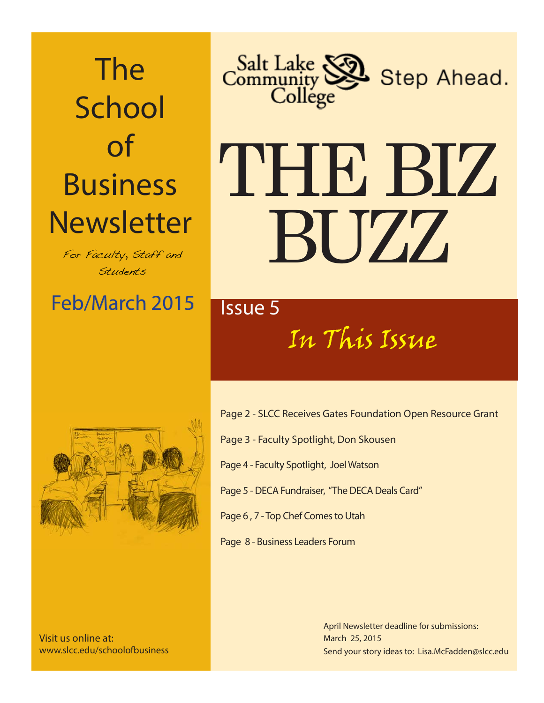# The School of Business **Newsletter**

For Faculty, Staff and Students

### Feb/March 2015 **Feb/March**



# THE BIZ BUZZ

## In This Issue



Visit us online at: www.slcc.edu/schoolofbusiness

- Page 2 SLCC Receives Gates Foundation Open Resource Grant
- Page 3 Faculty Spotlight, Don Skousen
- Page 4 Faculty Spotlight, Joel Watson
- Page 5 DECA Fundraiser, "The DECA Deals Card"
- Page 6 , 7 Top Chef Comes to Utah
- Page 8 Business Leaders Forum

Send your story ideas to: Lisa.McFadden@slcc.edu April Newsletter deadline for submissions: March 25, 2015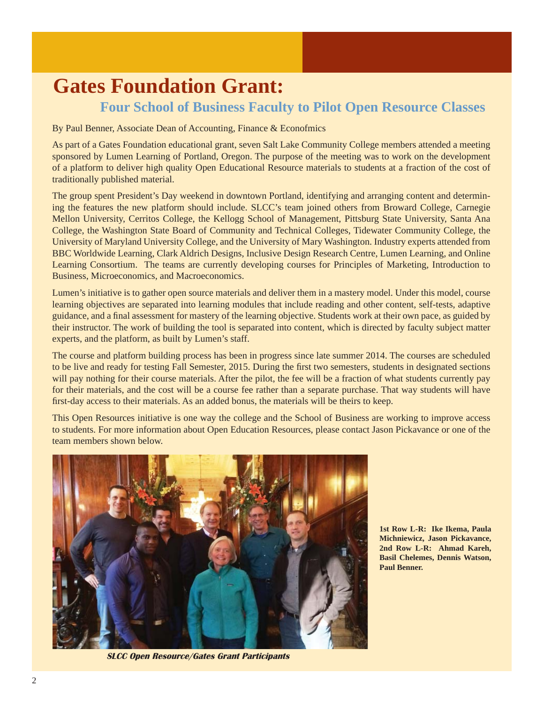#### **Gates Foundation Grant: Four School of Business Faculty to Pilot Open Resource Classes**

By Paul Benner, Associate Dean of Accounting, Finance & Econofmics

As part of a Gates Foundation educational grant, seven Salt Lake Community College members attended a meeting sponsored by Lumen Learning of Portland, Oregon. The purpose of the meeting was to work on the development of a platform to deliver high quality Open Educational Resource materials to students at a fraction of the cost of traditionally published material.

The group spent President's Day weekend in downtown Portland, identifying and arranging content and determining the features the new platform should include. SLCC's team joined others from Broward College, Carnegie Mellon University, Cerritos College, the Kellogg School of Management, Pittsburg State University, Santa Ana College, the Washington State Board of Community and Technical Colleges, Tidewater Community College, the University of Maryland University College, and the University of Mary Washington. Industry experts attended from BBC Worldwide Learning, Clark Aldrich Designs, Inclusive Design Research Centre, Lumen Learning, and Online Learning Consortium. The teams are currently developing courses for Principles of Marketing, Introduction to Business, Microeconomics, and Macroeconomics.

Lumen's initiative is to gather open source materials and deliver them in a mastery model. Under this model, course learning objectives are separated into learning modules that include reading and other content, self-tests, adaptive guidance, and a final assessment for mastery of the learning objective. Students work at their own pace, as guided by their instructor. The work of building the tool is separated into content, which is directed by faculty subject matter experts, and the platform, as built by Lumen's staff.

The course and platform building process has been in progress since late summer 2014. The courses are scheduled to be live and ready for testing Fall Semester, 2015. During the first two semesters, students in designated sections will pay nothing for their course materials. After the pilot, the fee will be a fraction of what students currently pay for their materials, and the cost will be a course fee rather than a separate purchase. That way students will have first-day access to their materials. As an added bonus, the materials will be theirs to keep.

This Open Resources initiative is one way the college and the School of Business are working to improve access to students. For more information about Open Education Resources, please contact Jason Pickavance or one of the team members shown below.



 **SLCC Open Resource/Gates Grant Participants**

**1st Row L-R: Ike Ikema, Paula Michniewicz, Jason Pickavance, 2nd Row L-R: Ahmad Kareh, Basil Chelemes, Dennis Watson, Paul Benner.**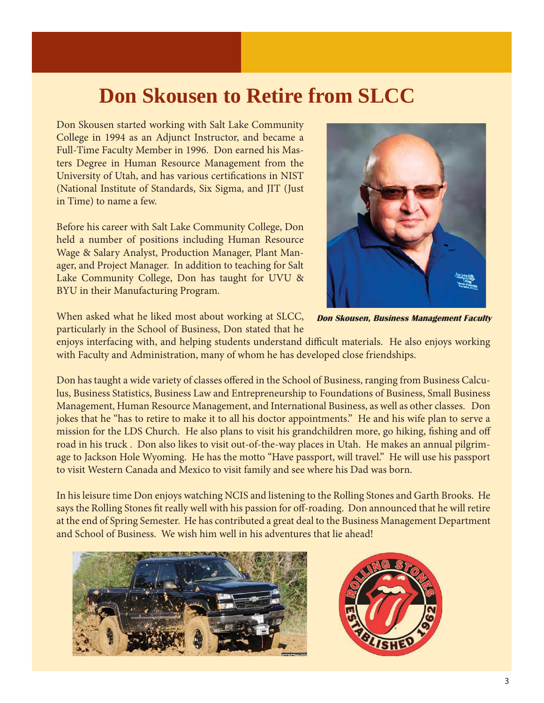#### **Don Skousen to Retire from SLCC**

Don Skousen started working with Salt Lake Community College in 1994 as an Adjunct Instructor, and became a Full-Time Faculty Member in 1996. Don earned his Masters Degree in Human Resource Management from the University of Utah, and has various certifications in NIST (National Institute of Standards, Six Sigma, and JIT (Just in Time) to name a few.

Before his career with Salt Lake Community College, Don held a number of positions including Human Resource Wage & Salary Analyst, Production Manager, Plant Manager, and Project Manager. In addition to teaching for Salt Lake Community College, Don has taught for UVU & BYU in their Manufacturing Program.

When asked what he liked most about working at SLCC,

particularly in the School of Business, Don stated that he

enjoys interfacing with, and helping students understand difficult materials. He also enjoys working with Faculty and Administration, many of whom he has developed close friendships.

Don has taught a wide variety of classes offered in the School of Business, ranging from Business Calculus, Business Statistics, Business Law and Entrepreneurship to Foundations of Business, Small Business Management, Human Resource Management, and International Business, as well as other classes. Don jokes that he "has to retire to make it to all his doctor appointments." He and his wife plan to serve a mission for the LDS Church. He also plans to visit his grandchildren more, go hiking, fishing and off road in his truck . Don also likes to visit out-of-the-way places in Utah. He makes an annual pilgrimage to Jackson Hole Wyoming. He has the motto "Have passport, will travel." He will use his passport to visit Western Canada and Mexico to visit family and see where his Dad was born.

In his leisure time Don enjoys watching NCIS and listening to the Rolling Stones and Garth Brooks. He says the Rolling Stones fit really well with his passion for off-roading. Don announced that he will retire at the end of Spring Semester. He has contributed a great deal to the Business Management Department and School of Business. We wish him well in his adventures that lie ahead!







 **Don Skousen, Business Management Faculty**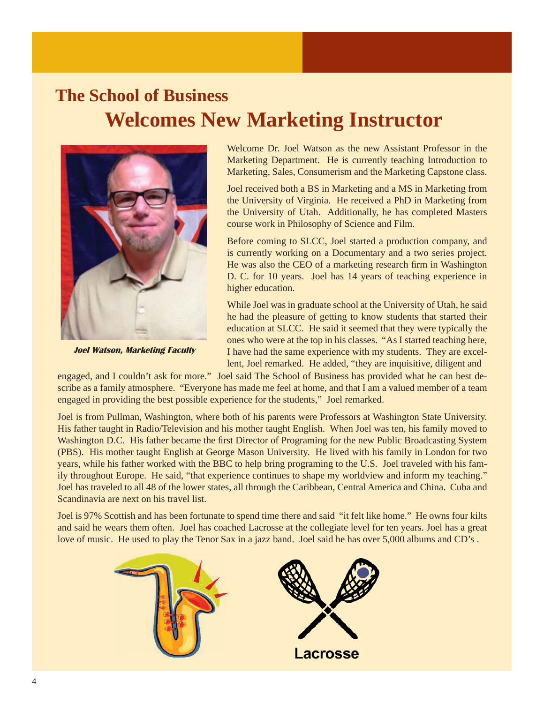#### **The School of Business Welcomes New Marketing Instructor**



 **Joel Watson, Marketing Faculty** 

Welcome Dr. Joel Watson as the new Assistant Professor in the Marketing Department. He is currently teaching Introduction to Marketing, Sales, Consumerism and the Marketing Capstone class.

Joel received both a BS in Marketing and a MS in Marketing from the University of Virginia. He received a PhD in Marketing from the University of Utah. Additionally, he has completed Masters course work in Philosophy of Science and Film.

Before coming to SLCC, Joel started a production company, and is currently working on a Documentary and a two series project. He was also the CEO of a marketing research firm in Washington D. C. for 10 years. Joel has 14 years of teaching experience in higher education.

While Joel was in graduate school at the University of Utah, he said he had the pleasure of getting to know students that started their education at SLCC. He said it seemed that they were typically the ones who were at the top in his classes. "As I started teaching here, I have had the same experience with my students. They are excellent, Joel remarked. He added, "they are inquisitive, diligent and

engaged, and I couldn't ask for more." Joel said The School of Business has provided what he can best describe as a family atmosphere. "Everyone has made me feel at home, and that I am a valued member of a team engaged in providing the best possible experience for the students," Joel remarked.

Joel is from Pullman, Washington, where both of his parents were Professors at Washington State University. His father taught in Radio/Television and his mother taught English. When Joel was ten, his family moved to Washington D.C. His father became the first Director of Programing for the new Public Broadcasting System (PBS). His mother taught English at George Mason University. He lived with his family in London for two years, while his father worked with the BBC to help bring programing to the U.S. Joel traveled with his family throughout Europe. He said, "that experience continues to shape my worldview and inform my teaching." Joel has traveled to all 48 of the lower states, all through the Caribbean, Central America and China. Cuba and Scandinavia are next on his travel list.

Joel is 97% Scottish and has been fortunate to spend time there and said "it felt like home." He owns four kilts and said he wears them often. Joel has coached Lacrosse at the collegiate level for ten years. Joel has a great love of music. He used to play the Tenor Sax in a jazz band. Joel said he has over 5,000 albums and CD's .

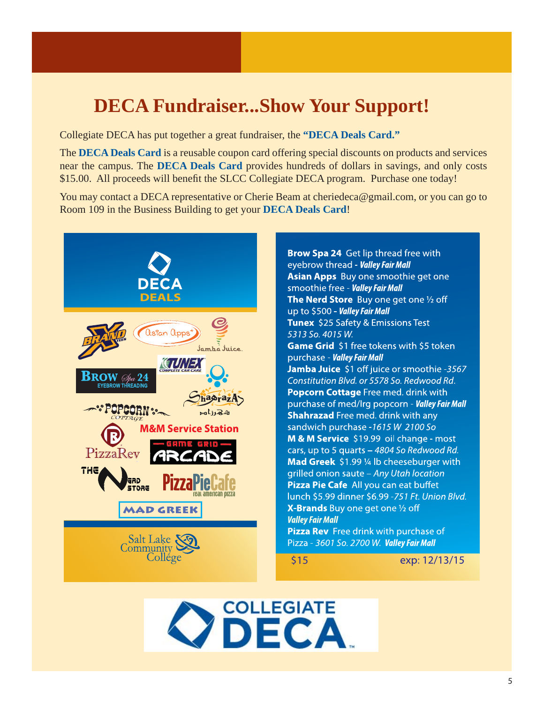#### **DECA Fundraiser...Show Your Support!**

Collegiate DECA has put together a great fundraiser, the **"DECA Deals Card."** 

The **DECA Deals Card** is a reusable coupon card offering special discounts on products and services near the campus. The **DECA Deals Card** provides hundreds of dollars in savings, and only costs \$15.00. All proceeds will benefit the SLCC Collegiate DECA program. Purchase one today!

You may contact a DECA representative or Cherie Beam at cheriedeca@gmail.com, or you can go to Room 109 in the Business Building to get your **DECA Deals Card**!



Brow Spa 24 Get lip thread free with eyebrow thread - **Valley Fair Mall** Asian Apps Buy one smoothie get one smoothie free - Valley Fair Mall The Nerd Store Buy one get one 1/2 off up to \$500 - Valley Fair Mall Tunex \$25 Safety & Emissions Test 5313 So. 4015 W. Game Grid \$1 free tokens with \$5 token purchase - Valley Fair Mall Jamba Juice \$1 off juice or smoothie -3567 Constitution Blvd. or 5578 So. Redwood Rd. Popcorn Cottage Free med. drink with purchase of med/lrg popcorn - Valley Fair Mall **Shahrazad** Free med. drink with any sandwich purchase -1615 W 2100 So M & M Service \$19.99 oil change - most cars, up to 5 quarts - 4804 So Redwood Rd. Mad Greek \$1.99 1/4 lb cheeseburger with grilled onion saute - Any Utah location Pizza Pie Cafe All you can eat buffet lunch \$5.99 dinner \$6.99 -751 Ft. Union Blvd. X-Brands Buy one get one 1/2 off **Valley Fair Mall** Pizza Rev Free drink with purchase of Pizza - 3601 So. 2700 W. Valley Fair Mall

\$15

exp: 12/13/15

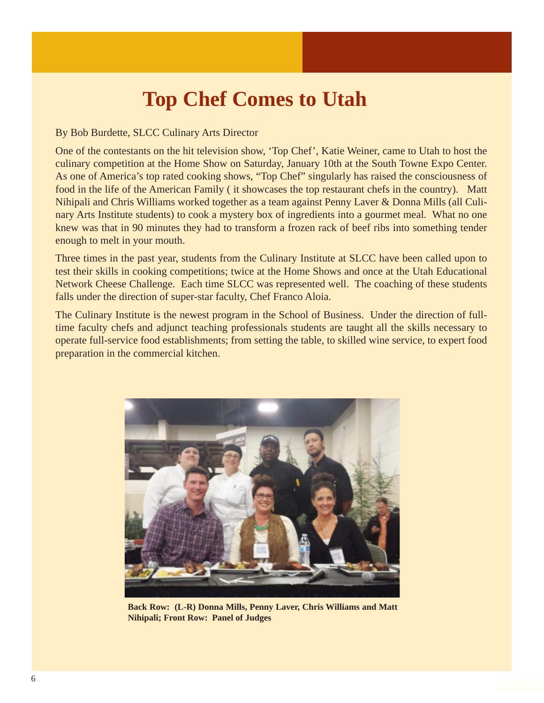#### **Top Chef Comes to Utah**

#### By Bob Burdette, SLCC Culinary Arts Director

One of the contestants on the hit television show, 'Top Chef', Katie Weiner, came to Utah to host the culinary competition at the Home Show on Saturday, January 10th at the South Towne Expo Center. As one of America's top rated cooking shows, "Top Chef" singularly has raised the consciousness of food in the life of the American Family ( it showcases the top restaurant chefs in the country). Matt Nihipali and Chris Williams worked together as a team against Penny Laver & Donna Mills (all Culinary Arts Institute students) to cook a mystery box of ingredients into a gourmet meal. What no one knew was that in 90 minutes they had to transform a frozen rack of beef ribs into something tender enough to melt in your mouth.

Three times in the past year, students from the Culinary Institute at SLCC have been called upon to test their skills in cooking competitions; twice at the Home Shows and once at the Utah Educational Network Cheese Challenge. Each time SLCC was represented well. The coaching of these students falls under the direction of super-star faculty, Chef Franco Aloia.

The Culinary Institute is the newest program in the School of Business. Under the direction of fulltime faculty chefs and adjunct teaching professionals students are taught all the skills necessary to operate full-service food establishments; from setting the table, to skilled wine service, to expert food preparation in the commercial kitchen.



**Back Row: (L-R) Donna Mills, Penny Laver, Chris Williams and Matt Nihipali; Front Row: Panel of Judges**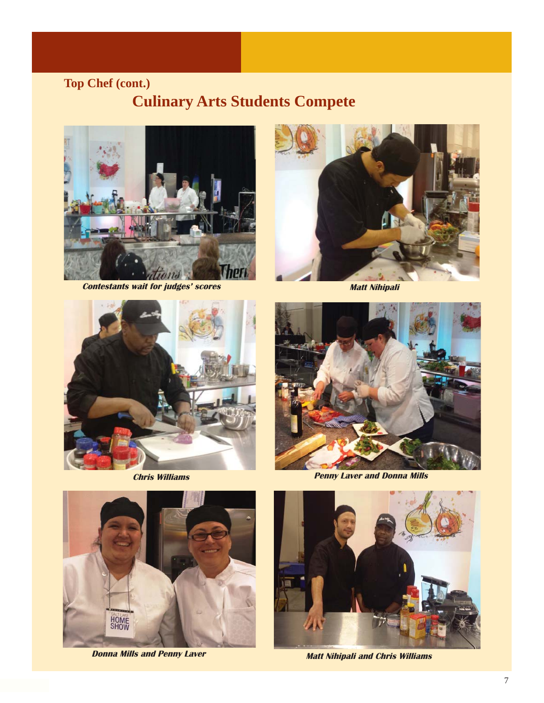#### **Top Chef (cont.)**

#### **Culinary Arts Students Compete**



 **Contestants wait for judges' scores Matt Nihipali** 







*Chris Williams Penny Laver and Donna Mills* 



**Donna Mills and Penny Laver Matt Nihipali and Chris Williams**